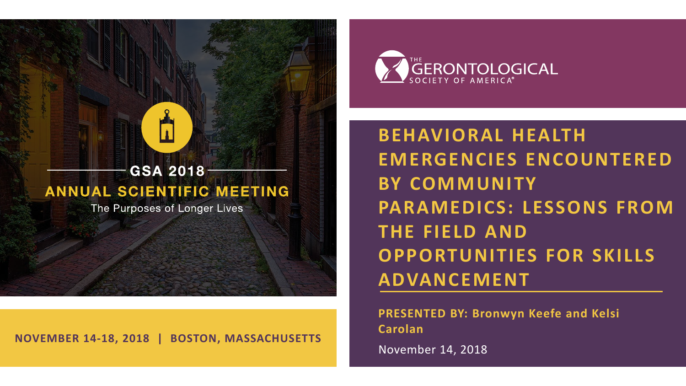

**NOVEMBER 14-18, 2018 | BOSTON, MASSACHUSETTS**



**BEHAVIORAL HEALTH EMERGENCIES ENCOUNTERED BY COMMUNITY PARAMEDICS: LESSONS FROM THE FIELD AND OPPORTUNITIES FOR SKILLS ADVANCEMENT**

**PRESENTED BY: Bronwyn Keefe and Kelsi Carolan**

November 14, 2018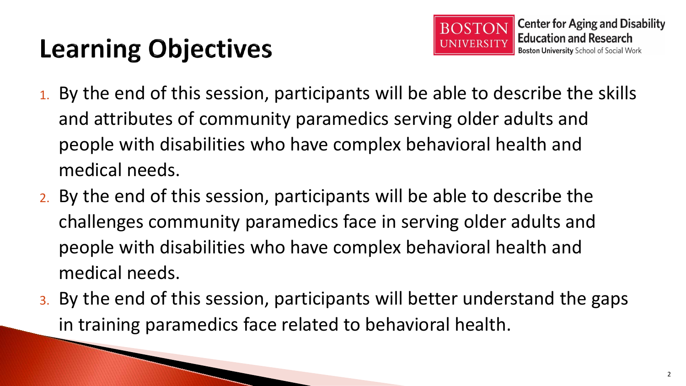# **Learning Objectives**

- 1. By the end of this session, participants will be able to describe the skills and attributes of community paramedics serving older adults and people with disabilities who have complex behavioral health and medical needs.
- 2. By the end of this session, participants will be able to describe the challenges community paramedics face in serving older adults and people with disabilities who have complex behavioral health and medical needs.
- 3. By the end of this session, participants will better understand the gaps in training paramedics face related to behavioral health.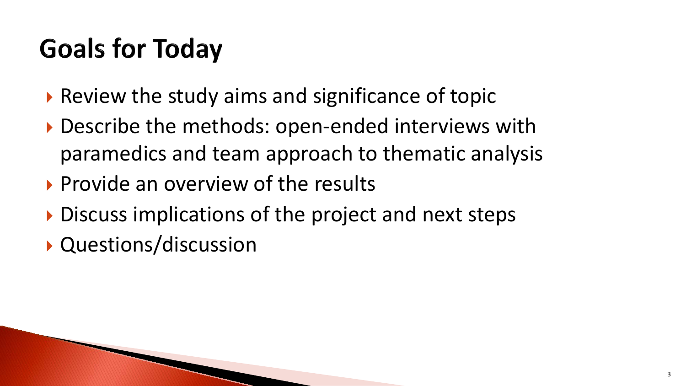# **Goals for Today**

- $\triangleright$  Review the study aims and significance of topic
- ▶ Describe the methods: open-ended interviews with paramedics and team approach to thematic analysis
- Provide an overview of the results
- Discuss implications of the project and next steps
- Questions/discussion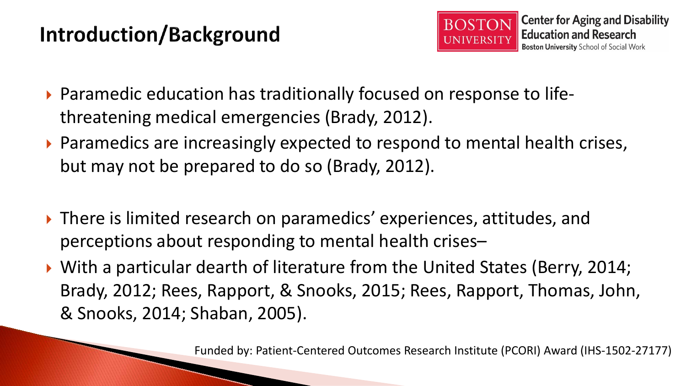### Introduction/Background



- ▶ Paramedic education has traditionally focused on response to lifethreatening medical emergencies (Brady, 2012).
- ▶ Paramedics are increasingly expected to respond to mental health crises, but may not be prepared to do so (Brady, 2012).
- ▶ There is limited research on paramedics' experiences, attitudes, and perceptions about responding to mental health crises–
- ▶ With a particular dearth of literature from the United States (Berry, 2014; Brady, 2012; Rees, Rapport, & Snooks, 2015; Rees, Rapport, Thomas, John, & Snooks, 2014; Shaban, 2005).

Funded by: Patient-Centered Outcomes Research Institute (PCORI) Award (IHS-1502-27177)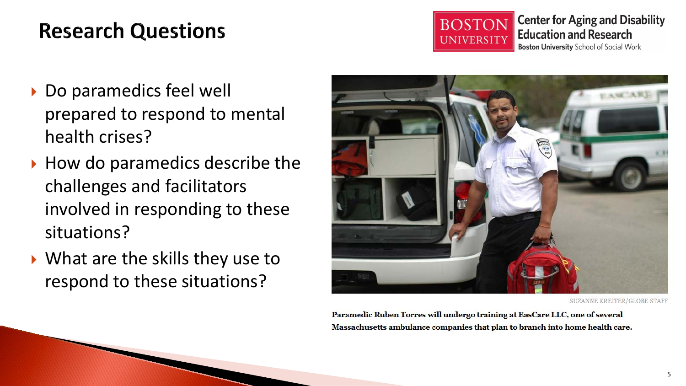### **Research Questions**



**Center for Aging and Disability Education and Research Boston University School of Social Work** 

- ▶ Do paramedics feel well prepared to respond to mental health crises?
- $\rightarrow$  How do paramedics describe the challenges and facilitators involved in responding to these situations?
- ▶ What are the skills they use to respond to these situations?



SUZANNE KREITER/GLOBE STAFF

Paramedic Ruben Torres will undergo training at EasCare LLC, one of several Massachusetts ambulance companies that plan to branch into home health care.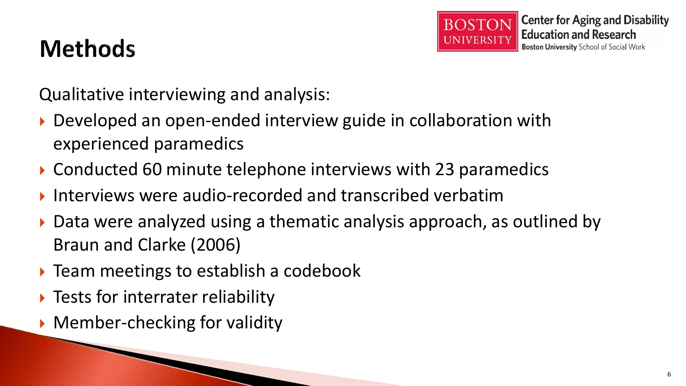

### **Methods**

Qualitative interviewing and analysis:

- ▶ Developed an open-ended interview guide in collaboration with experienced paramedics
- ▶ Conducted 60 minute telephone interviews with 23 paramedics
- Interviews were audio-recorded and transcribed verbatim
- ▶ Data were analyzed using a thematic analysis approach, as outlined by Braun and Clarke (2006)
- $\triangleright$  Team meetings to establish a codebook
- ▶ Tests for interrater reliability
- ▶ Member-checking for validity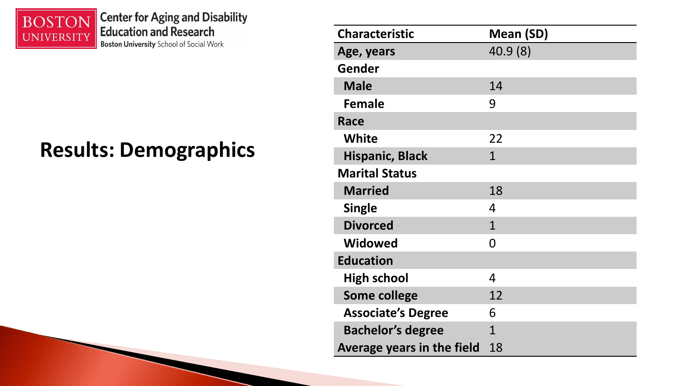

**Center for Aging and Disability<br>Education and Research Boston University** School of Social Work

#### **Results: Demographics**

| <b>Characteristic</b>      | <b>Mean (SD)</b> |
|----------------------------|------------------|
| Age, years                 | 40.9(8)          |
| Gender                     |                  |
| <b>Male</b>                | 14               |
| Female                     | 9                |
| Race                       |                  |
| <b>White</b>               | 22               |
| <b>Hispanic, Black</b>     | $\mathbf{1}$     |
| <b>Marital Status</b>      |                  |
| <b>Married</b>             | 18               |
| <b>Single</b>              | 4                |
| <b>Divorced</b>            | $\mathbf{1}$     |
| <b>Widowed</b>             | O                |
| <b>Education</b>           |                  |
| <b>High school</b>         | 4                |
| <b>Some college</b>        | 12               |
| <b>Associate's Degree</b>  | 6                |
| <b>Bachelor's degree</b>   | $\mathbf{1}$     |
| Average years in the field | 18               |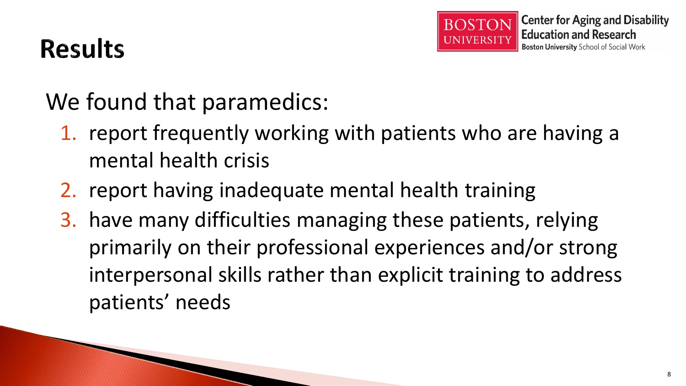

## **Results**

We found that paramedics:

- 1. report frequently working with patients who are having a mental health crisis
- 2. report having inadequate mental health training
- 3. have many difficulties managing these patients, relying primarily on their professional experiences and/or strong interpersonal skills rather than explicit training to address patients' needs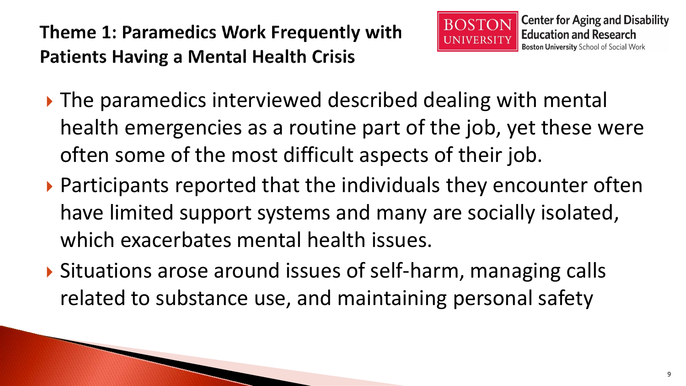

- ▶ The paramedics interviewed described dealing with mental health emergencies as a routine part of the job, yet these were often some of the most difficult aspects of their job.
- ▶ Participants reported that the individuals they encounter often have limited support systems and many are socially isolated, which exacerbates mental health issues.
- ▶ Situations arose around issues of self-harm, managing calls related to substance use, and maintaining personal safety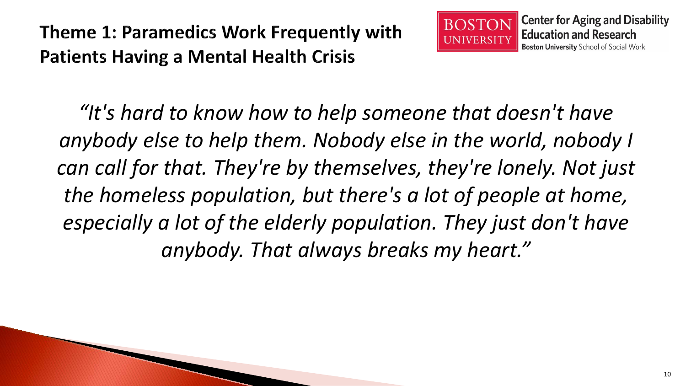

*"It's hard to know how to help someone that doesn't have anybody else to help them. Nobody else in the world, nobody I can call for that. They're by themselves, they're lonely. Not just the homeless population, but there's a lot of people at home, especially a lot of the elderly population. They just don't have anybody. That always breaks my heart."*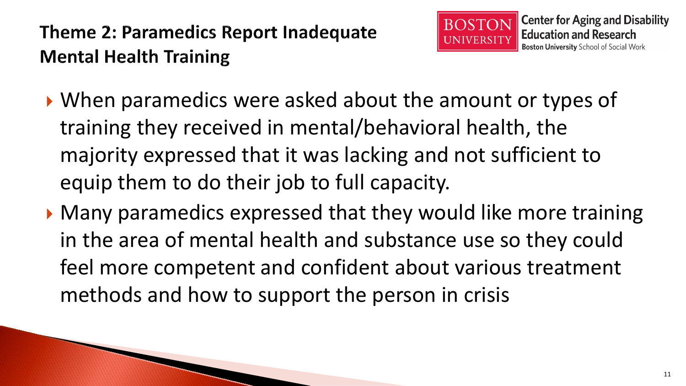

- When paramedics were asked about the amount or types of training they received in mental/behavioral health, the majority expressed that it was lacking and not sufficient to equip them to do their job to full capacity.
- ▶ Many paramedics expressed that they would like more training in the area of mental health and substance use so they could feel more competent and confident about various treatment methods and how to support the person in crisis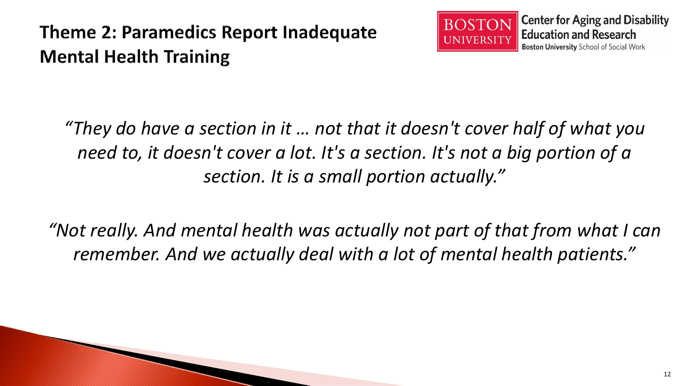#### **Theme 2: Paramedics Report Inadequate Mental Health Training**



*"They do have a section in it … not that it doesn't cover half of what you need to, it doesn't cover a lot. It's a section. It's not a big portion of a section. It is a small portion actually."*

*"Not really. And mental health was actually not part of that from what I can remember. And we actually deal with a lot of mental health patients."*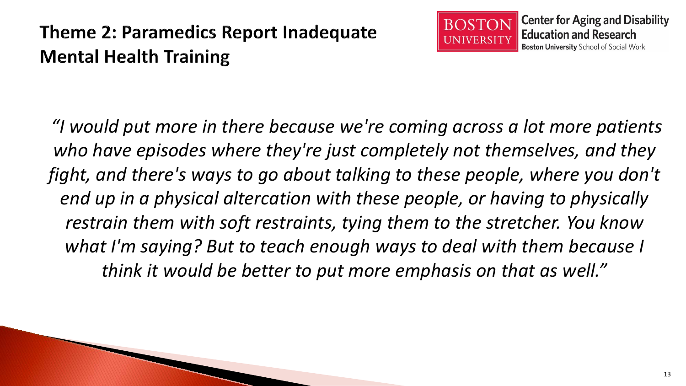#### **Theme 2: Paramedics Report Inadequate Mental Health Training**



*"I would put more in there because we're coming across a lot more patients who have episodes where they're just completely not themselves, and they fight, and there's ways to go about talking to these people, where you don't end up in a physical altercation with these people, or having to physically restrain them with soft restraints, tying them to the stretcher. You know what I'm saying? But to teach enough ways to deal with them because I think it would be better to put more emphasis on that as well."*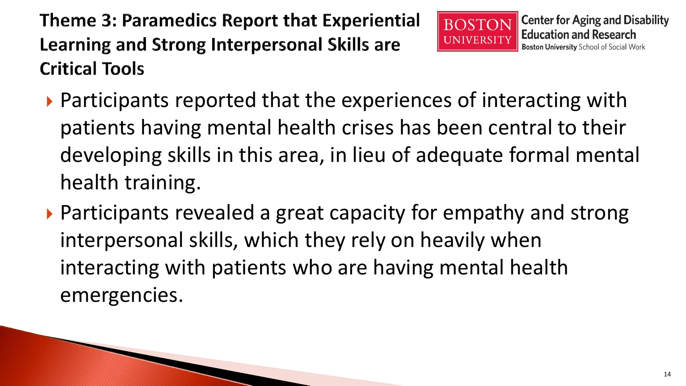**Theme 3: Paramedics Report that Experiential** Learning and Strong Interpersonal Skills are **Critical Tools** 



- $\triangleright$  Participants reported that the experiences of interacting with patients having mental health crises has been central to their developing skills in this area, in lieu of adequate formal mental health training.
- ▶ Participants revealed a great capacity for empathy and strong interpersonal skills, which they rely on heavily when interacting with patients who are having mental health emergencies.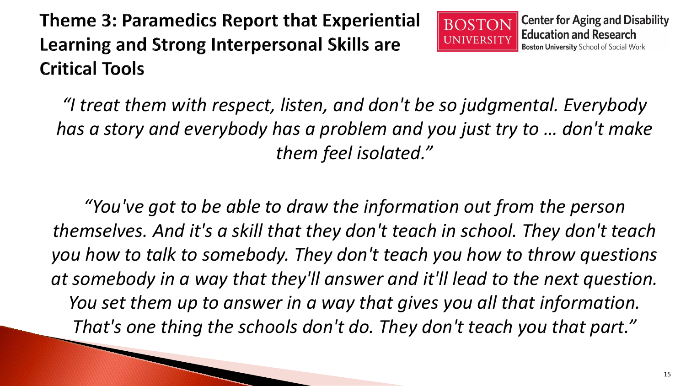**Theme 3: Paramedics Report that Experiential** Learning and Strong Interpersonal Skills are **Critical Tools** 



*"I treat them with respect, listen, and don't be so judgmental. Everybody has a story and everybody has a problem and you just try to … don't make them feel isolated."* 

*"You've got to be able to draw the information out from the person themselves. And it's a skill that they don't teach in school. They don't teach you how to talk to somebody. They don't teach you how to throw questions at somebody in a way that they'll answer and it'll lead to the next question. You set them up to answer in a way that gives you all that information. That's one thing the schools don't do. They don't teach you that part."*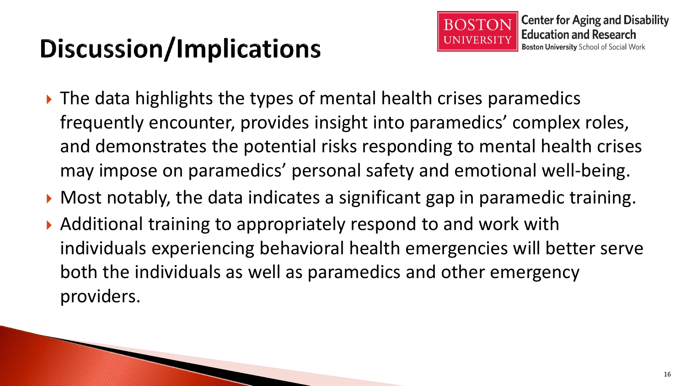# Discussion/Implications

- ▶ The data highlights the types of mental health crises paramedics frequently encounter, provides insight into paramedics' complex roles, and demonstrates the potential risks responding to mental health crises may impose on paramedics' personal safety and emotional well-being.
- ▶ Most notably, the data indicates a significant gap in paramedic training.
- ▶ Additional training to appropriately respond to and work with individuals experiencing behavioral health emergencies will better serve both the individuals as well as paramedics and other emergency providers.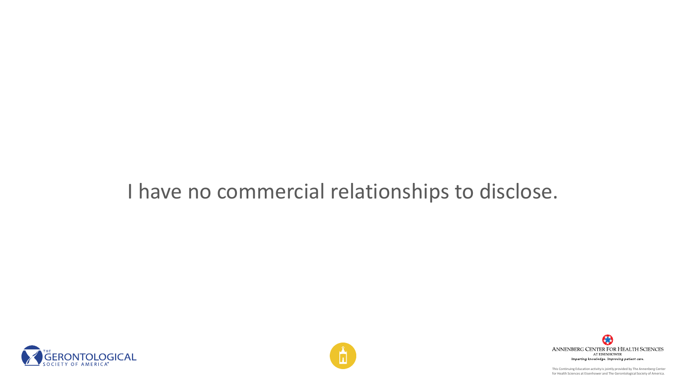#### I have no commercial relationships to disclose.







This Continuing Education activity is jointly provided by The Annenberg Center for Health Sciences at Eisenhower and The Gerontological Society of America.